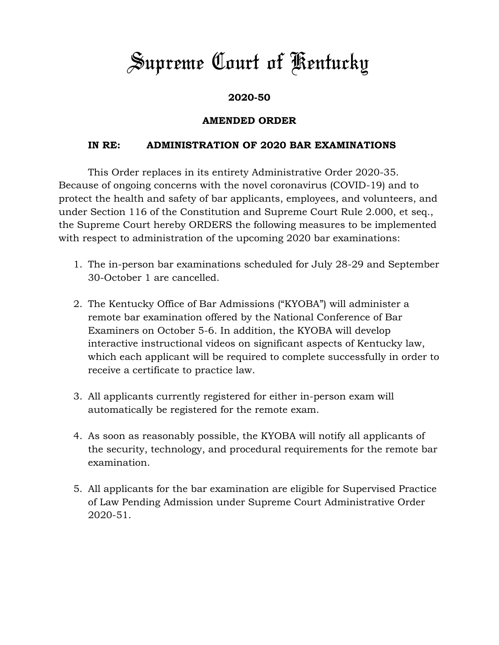## *Supreme Court of Kentucky*

## **2020-50**

## **AMENDED ORDER**

## **IN RE: ADMINISTRATION OF 2020 BAR EXAMINATIONS**

This Order replaces in its entirety Administrative Order 2020-35. Because of ongoing concerns with the novel coronavirus (COVID-19) and to protect the health and safety of bar applicants, employees, and volunteers, and under Section 116 of the Constitution and Supreme Court Rule 2.000, et seq., the Supreme Court hereby ORDERS the following measures to be implemented with respect to administration of the upcoming 2020 bar examinations:

- 1. The in-person bar examinations scheduled for July 28-29 and September 30-October 1 are cancelled.
- 2. The Kentucky Office of Bar Admissions ("KYOBA") will administer a remote bar examination offered by the National Conference of Bar Examiners on October 5-6. In addition, the KYOBA will develop interactive instructional videos on significant aspects of Kentucky law, which each applicant will be required to complete successfully in order to receive a certificate to practice law.
- 3. All applicants currently registered for either in-person exam will automatically be registered for the remote exam.
- 4. As soon as reasonably possible, the KYOBA will notify all applicants of the security, technology, and procedural requirements for the remote bar examination.
- 5. All applicants for the bar examination are eligible for Supervised Practice of Law Pending Admission under Supreme Court Administrative Order 2020-51.